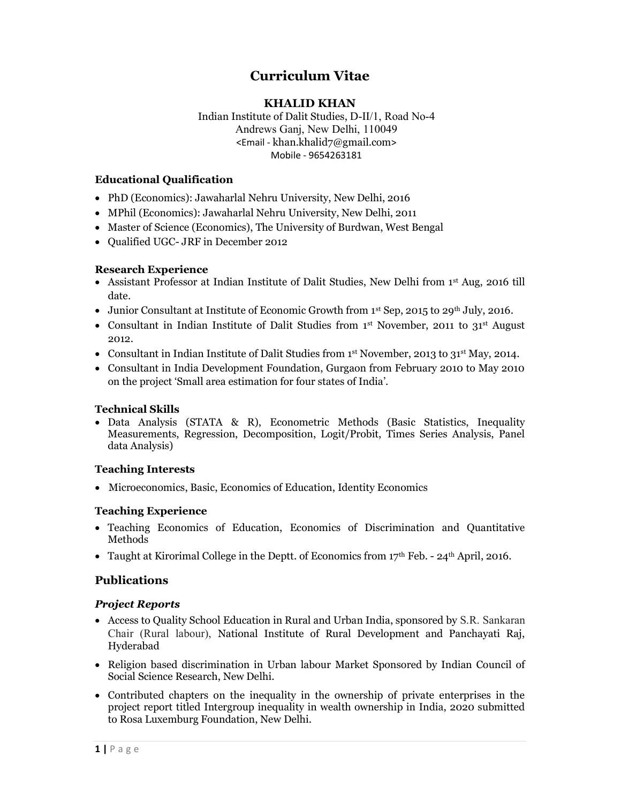# Curriculum Vitae

## KHALID KHAN

Indian Institute of Dalit Studies, D-II/1, Road No-4 Andrews Ganj, New Delhi, 110049 <Email - khan.khalid7@gmail.com> Mobile - 9654263181

## Educational Qualification

- PhD (Economics): Jawaharlal Nehru University, New Delhi, 2016
- MPhil (Economics): Jawaharlal Nehru University, New Delhi, 2011
- Master of Science (Economics), The University of Burdwan, West Bengal
- Qualified UGC- JRF in December 2012

## Research Experience

- Assistant Professor at Indian Institute of Dalit Studies, New Delhi from 1<sup>st</sup> Aug, 2016 till date.
- $\bullet$  Junior Consultant at Institute of Economic Growth from 1st Sep, 2015 to 29<sup>th</sup> July, 2016.
- Consultant in Indian Institute of Dalit Studies from 1<sup>st</sup> November, 2011 to 31<sup>st</sup> August 2012.
- Consultant in Indian Institute of Dalit Studies from 1<sup>st</sup> November, 2013 to 31<sup>st</sup> May, 2014.
- Consultant in India Development Foundation, Gurgaon from February 2010 to May 2010 on the project 'Small area estimation for four states of India'.

## Technical Skills

 Data Analysis (STATA & R), Econometric Methods (Basic Statistics, Inequality Measurements, Regression, Decomposition, Logit/Probit, Times Series Analysis, Panel data Analysis)

## Teaching Interests

Microeconomics, Basic, Economics of Education, Identity Economics

## Teaching Experience

- Teaching Economics of Education, Economics of Discrimination and Quantitative Methods
- Taught at Kirorimal College in the Deptt. of Economics from  $17<sup>th</sup>$  Feb. 24<sup>th</sup> April, 2016.

## Publications

## Project Reports

- Access to Quality School Education in Rural and Urban India, sponsored by S.R. Sankaran Chair (Rural labour), National Institute of Rural Development and Panchayati Raj, Hyderabad
- Religion based discrimination in Urban labour Market Sponsored by Indian Council of Social Science Research, New Delhi.
- Contributed chapters on the inequality in the ownership of private enterprises in the project report titled Intergroup inequality in wealth ownership in India, 2020 submitted to Rosa Luxemburg Foundation, New Delhi.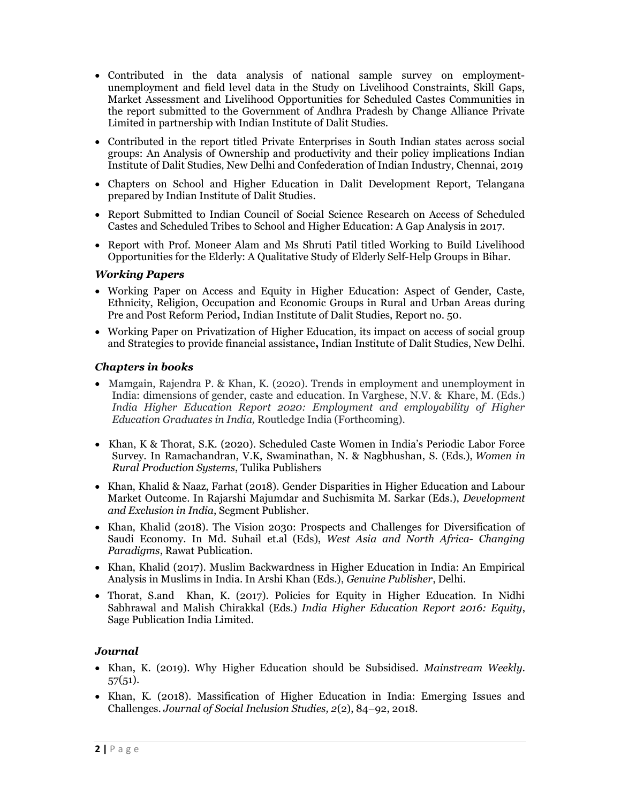- Contributed in the data analysis of national sample survey on employmentunemployment and field level data in the Study on Livelihood Constraints, Skill Gaps, Market Assessment and Livelihood Opportunities for Scheduled Castes Communities in the report submitted to the Government of Andhra Pradesh by Change Alliance Private Limited in partnership with Indian Institute of Dalit Studies.
- Contributed in the report titled Private Enterprises in South Indian states across social groups: An Analysis of Ownership and productivity and their policy implications Indian Institute of Dalit Studies, New Delhi and Confederation of Indian Industry, Chennai, 2019
- Chapters on School and Higher Education in Dalit Development Report, Telangana prepared by Indian Institute of Dalit Studies.
- Report Submitted to Indian Council of Social Science Research on Access of Scheduled Castes and Scheduled Tribes to School and Higher Education: A Gap Analysis in 2017.
- Report with Prof. Moneer Alam and Ms Shruti Patil titled Working to Build Livelihood Opportunities for the Elderly: A Qualitative Study of Elderly Self-Help Groups in Bihar.

#### Working Papers

- Working Paper on Access and Equity in Higher Education: Aspect of Gender, Caste, Ethnicity, Religion, Occupation and Economic Groups in Rural and Urban Areas during Pre and Post Reform Period, Indian Institute of Dalit Studies, Report no. 50.
- Working Paper on Privatization of Higher Education, its impact on access of social group and Strategies to provide financial assistance, Indian Institute of Dalit Studies, New Delhi.

#### Chapters in books

- Mamgain, Rajendra P. & Khan, K. (2020). Trends in employment and unemployment in India: dimensions of gender, caste and education. In Varghese, N.V. & Khare, M. (Eds.) India Higher Education Report 2020: Employment and employability of Higher Education Graduates in India, Routledge India (Forthcoming).
- Khan, K & Thorat, S.K. (2020). Scheduled Caste Women in India's Periodic Labor Force Survey. In Ramachandran, V.K, Swaminathan, N. & Nagbhushan, S. (Eds.), Women in Rural Production Systems, Tulika Publishers
- Khan, Khalid & Naaz, Farhat (2018). Gender Disparities in Higher Education and Labour Market Outcome. In Rajarshi Majumdar and Suchismita M. Sarkar (Eds.), Development and Exclusion in India, Segment Publisher.
- Khan, Khalid (2018). The Vision 2030: Prospects and Challenges for Diversification of Saudi Economy. In Md. Suhail et.al (Eds), West Asia and North Africa- Changing Paradigms, Rawat Publication.
- Khan, Khalid (2017). Muslim Backwardness in Higher Education in India: An Empirical Analysis in Muslims in India. In Arshi Khan (Eds.), Genuine Publisher, Delhi.
- Thorat, S.and Khan, K. (2017). Policies for Equity in Higher Education. In Nidhi Sabhrawal and Malish Chirakkal (Eds.) India Higher Education Report 2016: Equity, Sage Publication India Limited.

#### Journal

- Khan, K. (2019). Why Higher Education should be Subsidised. Mainstream Weekly. 57(51).
- Khan, K. (2018). Massification of Higher Education in India: Emerging Issues and Challenges. Journal of Social Inclusion Studies, 2(2), 84–92, 2018.